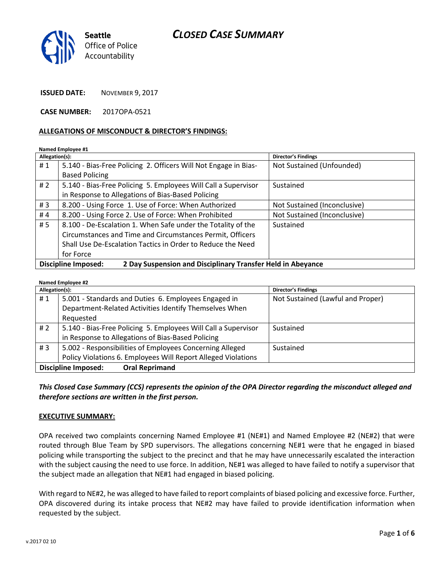

**ISSUED DATE:** NOVEMBER 9, 2017

**CASE NUMBER:** 2017OPA-0521

#### **ALLEGATIONS OF MISCONDUCT & DIRECTOR'S FINDINGS:**

#### **Named Employee #1**

| Allegation(s):                                                                            |                                                                 | Director's Findings          |  |
|-------------------------------------------------------------------------------------------|-----------------------------------------------------------------|------------------------------|--|
| #1                                                                                        | 5.140 - Bias-Free Policing 2. Officers Will Not Engage in Bias- | Not Sustained (Unfounded)    |  |
|                                                                                           | <b>Based Policing</b>                                           |                              |  |
| # 2                                                                                       | 5.140 - Bias-Free Policing 5. Employees Will Call a Supervisor  | Sustained                    |  |
|                                                                                           | in Response to Allegations of Bias-Based Policing               |                              |  |
| #3                                                                                        | 8.200 - Using Force 1. Use of Force: When Authorized            | Not Sustained (Inconclusive) |  |
| #4                                                                                        | 8.200 - Using Force 2. Use of Force: When Prohibited            | Not Sustained (Inconclusive) |  |
| # 5                                                                                       | 8.100 - De-Escalation 1. When Safe under the Totality of the    | Sustained                    |  |
|                                                                                           | Circumstances and Time and Circumstances Permit, Officers       |                              |  |
|                                                                                           | Shall Use De-Escalation Tactics in Order to Reduce the Need     |                              |  |
|                                                                                           | for Force                                                       |                              |  |
| 2 Day Suspension and Disciplinary Transfer Held in Abeyance<br><b>Discipline Imposed:</b> |                                                                 |                              |  |

#### **Named Employee #2**

| Allegation(s):                                      |                                                                | Director's Findings               |
|-----------------------------------------------------|----------------------------------------------------------------|-----------------------------------|
| #1                                                  | 5.001 - Standards and Duties 6. Employees Engaged in           | Not Sustained (Lawful and Proper) |
|                                                     | Department-Related Activities Identify Themselves When         |                                   |
|                                                     | Requested                                                      |                                   |
| #2                                                  | 5.140 - Bias-Free Policing 5. Employees Will Call a Supervisor | Sustained                         |
|                                                     | in Response to Allegations of Bias-Based Policing              |                                   |
| #3                                                  | 5.002 - Responsibilities of Employees Concerning Alleged       | Sustained                         |
|                                                     | Policy Violations 6. Employees Will Report Alleged Violations  |                                   |
| <b>Discipline Imposed:</b><br><b>Oral Reprimand</b> |                                                                |                                   |

### *This Closed Case Summary (CCS) represents the opinion of the OPA Director regarding the misconduct alleged and therefore sections are written in the first person.*

#### **EXECUTIVE SUMMARY:**

OPA received two complaints concerning Named Employee #1 (NE#1) and Named Employee #2 (NE#2) that were routed through Blue Team by SPD supervisors. The allegations concerning NE#1 were that he engaged in biased policing while transporting the subject to the precinct and that he may have unnecessarily escalated the interaction with the subject causing the need to use force. In addition, NE#1 was alleged to have failed to notify a supervisor that the subject made an allegation that NE#1 had engaged in biased policing.

With regard to NE#2, he was alleged to have failed to report complaints of biased policing and excessive force. Further, OPA discovered during its intake process that NE#2 may have failed to provide identification information when requested by the subject.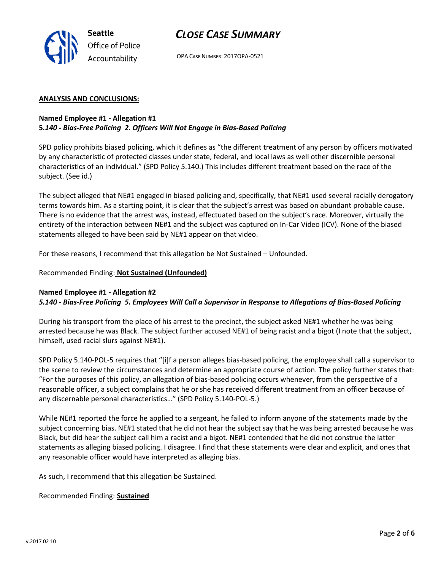

OPA CASE NUMBER: 2017OPA-0521

#### **ANALYSIS AND CONCLUSIONS:**

**Seattle**

*Office of Police Accountability*

#### **Named Employee #1 - Allegation #1 5***.140 - Bias-Free Policing 2. Officers Will Not Engage in Bias-Based Policing*

SPD policy prohibits biased policing, which it defines as "the different treatment of any person by officers motivated by any characteristic of protected classes under state, federal, and local laws as well other discernible personal characteristics of an individual." (SPD Policy 5.140.) This includes different treatment based on the race of the subject. (See id.)

The subject alleged that NE#1 engaged in biased policing and, specifically, that NE#1 used several racially derogatory terms towards him. As a starting point, it is clear that the subject's arrest was based on abundant probable cause. There is no evidence that the arrest was, instead, effectuated based on the subject's race. Moreover, virtually the entirety of the interaction between NE#1 and the subject was captured on In-Car Video (ICV). None of the biased statements alleged to have been said by NE#1 appear on that video.

For these reasons, I recommend that this allegation be Not Sustained – Unfounded.

Recommended Finding: **Not Sustained (Unfounded)**

#### **Named Employee #1 - Allegation #2**

*5.140 - Bias-Free Policing 5. Employees Will Call a Supervisor in Response to Allegations of Bias-Based Policing*

During his transport from the place of his arrest to the precinct, the subject asked NE#1 whether he was being arrested because he was Black. The subject further accused NE#1 of being racist and a bigot (I note that the subject, himself, used racial slurs against NE#1).

SPD Policy 5.140-POL-5 requires that "[i]f a person alleges bias-based policing, the employee shall call a supervisor to the scene to review the circumstances and determine an appropriate course of action. The policy further states that: "For the purposes of this policy, an allegation of bias-based policing occurs whenever, from the perspective of a reasonable officer, a subject complains that he or she has received different treatment from an officer because of any discernable personal characteristics…" (SPD Policy 5.140-POL-5.)

While NE#1 reported the force he applied to a sergeant, he failed to inform anyone of the statements made by the subject concerning bias. NE#1 stated that he did not hear the subject say that he was being arrested because he was Black, but did hear the subject call him a racist and a bigot. NE#1 contended that he did not construe the latter statements as alleging biased policing. I disagree. I find that these statements were clear and explicit, and ones that any reasonable officer would have interpreted as alleging bias.

As such, I recommend that this allegation be Sustained.

Recommended Finding: **Sustained**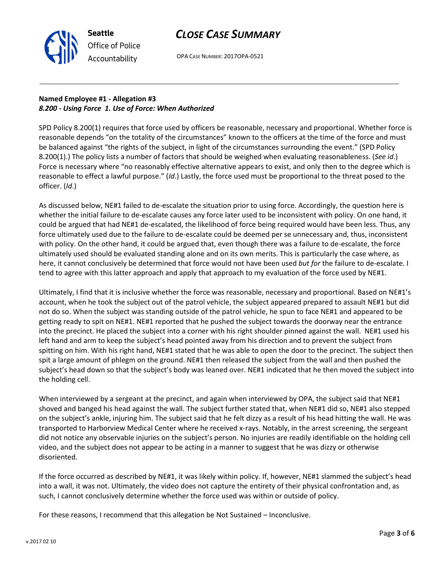

OPA CASE NUMBER: 2017OPA-0521

# **Named Employee #1 - Allegation #3** *8.200 - Using Force 1. Use of Force: When Authorized*

SPD Policy 8.200(1) requires that force used by officers be reasonable, necessary and proportional. Whether force is reasonable depends "on the totality of the circumstances" known to the officers at the time of the force and must be balanced against "the rights of the subject, in light of the circumstances surrounding the event." (SPD Policy 8.200(1).) The policy lists a number of factors that should be weighed when evaluating reasonableness. (*See id*.) Force is necessary where "no reasonably effective alternative appears to exist, and only then to the degree which is reasonable to effect a lawful purpose." (*Id*.) Lastly, the force used must be proportional to the threat posed to the officer. (*Id*.)

As discussed below, NE#1 failed to de-escalate the situation prior to using force. Accordingly, the question here is whether the initial failure to de-escalate causes any force later used to be inconsistent with policy. On one hand, it could be argued that had NE#1 de-escalated, the likelihood of force being required would have been less. Thus, any force ultimately used due to the failure to de-escalate could be deemed per se unnecessary and, thus, inconsistent with policy. On the other hand, it could be argued that, even though there was a failure to de-escalate, the force ultimately used should be evaluated standing alone and on its own merits. This is particularly the case where, as here, it cannot conclusively be determined that force would not have been used *but for* the failure to de-escalate. I tend to agree with this latter approach and apply that approach to my evaluation of the force used by NE#1.

Ultimately, I find that it is inclusive whether the force was reasonable, necessary and proportional. Based on NE#1's account, when he took the subject out of the patrol vehicle, the subject appeared prepared to assault NE#1 but did not do so. When the subject was standing outside of the patrol vehicle, he spun to face NE#1 and appeared to be getting ready to spit on NE#1. NE#1 reported that he pushed the subject towards the doorway near the entrance into the precinct. He placed the subject into a corner with his right shoulder pinned against the wall. NE#1 used his left hand and arm to keep the subject's head pointed away from his direction and to prevent the subject from spitting on him. With his right hand, NE#1 stated that he was able to open the door to the precinct. The subject then spit a large amount of phlegm on the ground. NE#1 then released the subject from the wall and then pushed the subject's head down so that the subject's body was leaned over. NE#1 indicated that he then moved the subject into the holding cell.

When interviewed by a sergeant at the precinct, and again when interviewed by OPA, the subject said that NE#1 shoved and banged his head against the wall. The subject further stated that, when NE#1 did so, NE#1 also stepped on the subject's ankle, injuring him. The subject said that he felt dizzy as a result of his head hitting the wall. He was transported to Harborview Medical Center where he received x-rays. Notably, in the arrest screening, the sergeant did not notice any observable injuries on the subject's person. No injuries are readily identifiable on the holding cell video, and the subject does not appear to be acting in a manner to suggest that he was dizzy or otherwise disoriented.

If the force occurred as described by NE#1, it was likely within policy. If, however, NE#1 slammed the subject's head into a wall, it was not. Ultimately, the video does not capture the entirety of their physical confrontation and, as such, I cannot conclusively determine whether the force used was within or outside of policy.

For these reasons, I recommend that this allegation be Not Sustained – Inconclusive.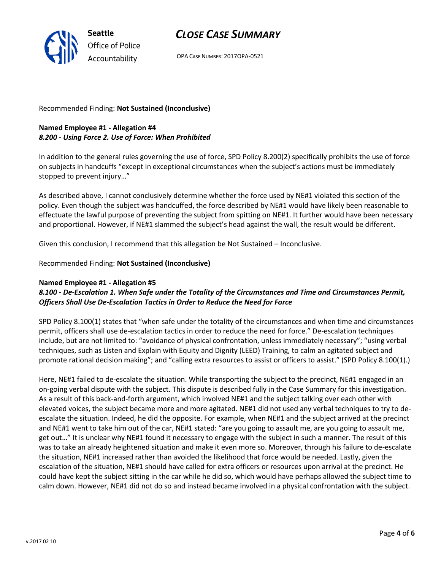OPA CASE NUMBER: 2017OPA-0521

Recommended Finding: **Not Sustained (Inconclusive)**

**Seattle**

*Office of Police Accountability*

### **Named Employee #1 - Allegation #4** *8.200 - Using Force 2. Use of Force: When Prohibited*

In addition to the general rules governing the use of force, SPD Policy 8.200(2) specifically prohibits the use of force on subjects in handcuffs "except in exceptional circumstances when the subject's actions must be immediately stopped to prevent injury…"

As described above, I cannot conclusively determine whether the force used by NE#1 violated this section of the policy. Even though the subject was handcuffed, the force described by NE#1 would have likely been reasonable to effectuate the lawful purpose of preventing the subject from spitting on NE#1. It further would have been necessary and proportional. However, if NE#1 slammed the subject's head against the wall, the result would be different.

Given this conclusion, I recommend that this allegation be Not Sustained – Inconclusive.

### Recommended Finding: **Not Sustained (Inconclusive)**

#### **Named Employee #1 - Allegation #5**

### *8.100 - De-Escalation 1. When Safe under the Totality of the Circumstances and Time and Circumstances Permit, Officers Shall Use De-Escalation Tactics in Order to Reduce the Need for Force*

SPD Policy 8.100(1) states that "when safe under the totality of the circumstances and when time and circumstances permit, officers shall use de-escalation tactics in order to reduce the need for force." De-escalation techniques include, but are not limited to: "avoidance of physical confrontation, unless immediately necessary"; "using verbal techniques, such as Listen and Explain with Equity and Dignity (LEED) Training, to calm an agitated subject and promote rational decision making"; and "calling extra resources to assist or officers to assist." (SPD Policy 8.100(1).)

Here, NE#1 failed to de-escalate the situation. While transporting the subject to the precinct, NE#1 engaged in an on-going verbal dispute with the subject. This dispute is described fully in the Case Summary for this investigation. As a result of this back-and-forth argument, which involved NE#1 and the subject talking over each other with elevated voices, the subject became more and more agitated. NE#1 did not used any verbal techniques to try to deescalate the situation. Indeed, he did the opposite. For example, when NE#1 and the subject arrived at the precinct and NE#1 went to take him out of the car, NE#1 stated: "are you going to assault me, are you going to assault me, get out…" It is unclear why NE#1 found it necessary to engage with the subject in such a manner. The result of this was to take an already heightened situation and make it even more so. Moreover, through his failure to de-escalate the situation, NE#1 increased rather than avoided the likelihood that force would be needed. Lastly, given the escalation of the situation, NE#1 should have called for extra officers or resources upon arrival at the precinct. He could have kept the subject sitting in the car while he did so, which would have perhaps allowed the subject time to calm down. However, NE#1 did not do so and instead became involved in a physical confrontation with the subject.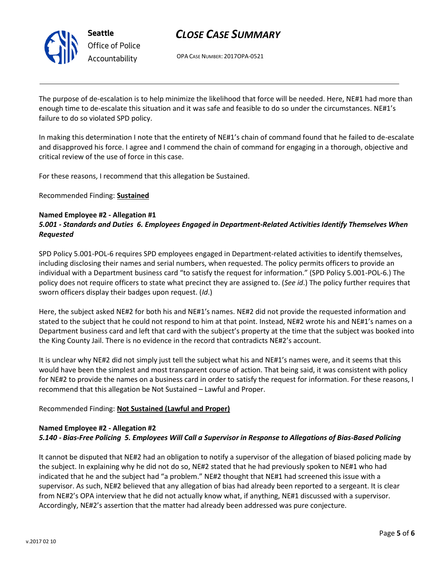

OPA CASE NUMBER: 2017OPA-0521

The purpose of de-escalation is to help minimize the likelihood that force will be needed. Here, NE#1 had more than enough time to de-escalate this situation and it was safe and feasible to do so under the circumstances. NE#1's failure to do so violated SPD policy.

In making this determination I note that the entirety of NE#1's chain of command found that he failed to de-escalate and disapproved his force. I agree and I commend the chain of command for engaging in a thorough, objective and critical review of the use of force in this case.

For these reasons, I recommend that this allegation be Sustained.

Recommended Finding: **Sustained**

### **Named Employee #2 - Allegation #1**

## *5.001 - Standards and Duties 6. Employees Engaged in Department-Related Activities Identify Themselves When Requested*

SPD Policy 5.001-POL-6 requires SPD employees engaged in Department-related activities to identify themselves, including disclosing their names and serial numbers, when requested. The policy permits officers to provide an individual with a Department business card "to satisfy the request for information." (SPD Policy 5.001-POL-6.) The policy does not require officers to state what precinct they are assigned to. (*See id*.) The policy further requires that sworn officers display their badges upon request. (*Id*.)

Here, the subject asked NE#2 for both his and NE#1's names. NE#2 did not provide the requested information and stated to the subject that he could not respond to him at that point. Instead, NE#2 wrote his and NE#1's names on a Department business card and left that card with the subject's property at the time that the subject was booked into the King County Jail. There is no evidence in the record that contradicts NE#2's account.

It is unclear why NE#2 did not simply just tell the subject what his and NE#1's names were, and it seems that this would have been the simplest and most transparent course of action. That being said, it was consistent with policy for NE#2 to provide the names on a business card in order to satisfy the request for information. For these reasons, I recommend that this allegation be Not Sustained – Lawful and Proper.

### Recommended Finding: **Not Sustained (Lawful and Proper)**

#### **Named Employee #2 - Allegation #2** *5.140 - Bias-Free Policing 5. Employees Will Call a Supervisor in Response to Allegations of Bias-Based Policing*

It cannot be disputed that NE#2 had an obligation to notify a supervisor of the allegation of biased policing made by the subject. In explaining why he did not do so, NE#2 stated that he had previously spoken to NE#1 who had indicated that he and the subject had "a problem." NE#2 thought that NE#1 had screened this issue with a supervisor. As such, NE#2 believed that any allegation of bias had already been reported to a sergeant. It is clear from NE#2's OPA interview that he did not actually know what, if anything, NE#1 discussed with a supervisor. Accordingly, NE#2's assertion that the matter had already been addressed was pure conjecture.